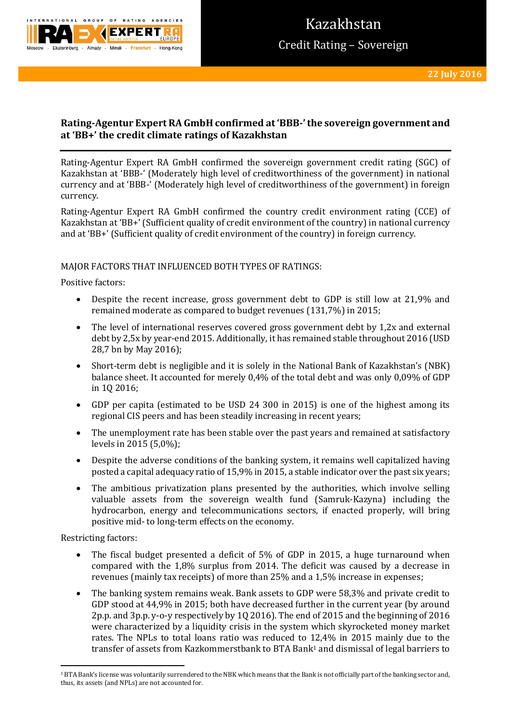

# **Rating-Agentur Expert RA GmbH confirmed at 'BBB-' the sovereign government and at 'BB+' the credit climate ratings of Kazakhstan**

Rating-Agentur Expert RA GmbH confirmed the sovereign government credit rating (SGC) of Kazakhstan at 'BBB-' (Moderately high level of creditworthiness of the government) in national currency and at 'BBB-' (Moderately high level of creditworthiness of the government) in foreign currency.

Rating-Agentur Expert RA GmbH confirmed the country credit environment rating (CCE) of Kazakhstan at 'BB+' (Sufficient quality of credit environment of the country) in national currency and at 'BB+' (Sufficient quality of credit environment of the country) in foreign currency.

## MAJOR FACTORS THAT INFLUENCED BOTH TYPES OF RATINGS:

Positive factors:

- Despite the recent increase, gross government debt to GDP is still low at 21,9% and remained moderate as compared to budget revenues (131,7%) in 2015;
- The level of international reserves covered gross government debt by 1,2x and external debt by 2,5x by year-end 2015. Additionally, it has remained stable throughout 2016 (USD 28,7 bn by May 2016);
- Short-term debt is negligible and it is solely in the National Bank of Kazakhstan's (NBK) balance sheet. It accounted for merely 0,4% of the total debt and was only 0,09% of GDP in 1Q 2016;
- GDP per capita (estimated to be USD 24 300 in 2015) is one of the highest among its regional CIS peers and has been steadily increasing in recent years;
- The unemployment rate has been stable over the past years and remained at satisfactory levels in 2015 (5,0%);
- Despite the adverse conditions of the banking system, it remains well capitalized having posted a capital adequacy ratio of 15,9% in 2015, a stable indicator over the past six years;
- The ambitious privatization plans presented by the authorities, which involve selling valuable assets from the sovereign wealth fund (Samruk-Kazyna) including the hydrocarbon, energy and telecommunications sectors, if enacted properly, will bring positive mid- to long-term effects on the economy.

Restricting factors:

- The fiscal budget presented a deficit of 5% of GDP in 2015, a huge turnaround when compared with the 1,8% surplus from 2014. The deficit was caused by a decrease in revenues (mainly tax receipts) of more than 25% and a 1,5% increase in expenses;
- The banking system remains weak. Bank assets to GDP were 58,3% and private credit to GDP stood at 44,9% in 2015; both have decreased further in the current year (by around 2p.p. and 3p.p. y-o-y respectively by 1Q 2016). The end of 2015 and the beginning of 2016 were characterized by a liquidity crisis in the system which skyrocketed money market rates. The NPLs to total loans ratio was reduced to 12,4% in 2015 mainly due to the transfer of assets from Kazkommerstbank to BTA Bank<sup>1</sup> and dismissal of legal barriers to

**<sup>.</sup>** <sup>1</sup> BTA Bank's license was voluntarily surrendered to the NBK which means that the Bank is not officially part of the banking sector and, thus, its assets (and NPLs) are not accounted for.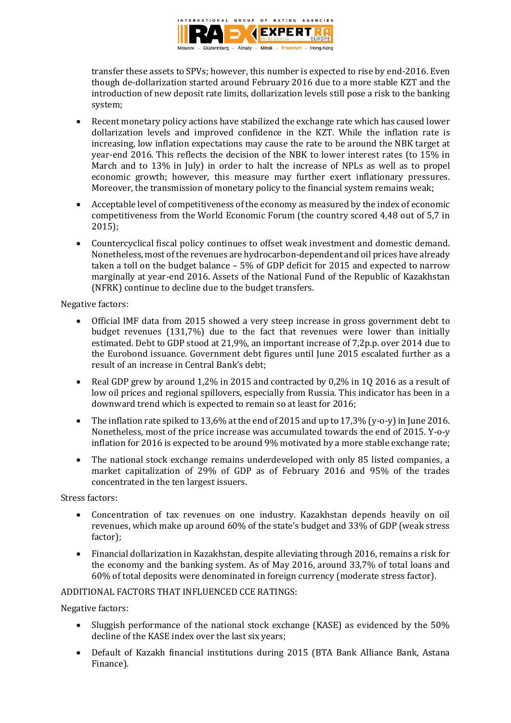

transfer these assets to SPVs; however, this number is expected to rise by end-2016. Even though de-dollarization started around February 2016 due to a more stable KZT and the introduction of new deposit rate limits, dollarization levels still pose a risk to the banking system;

- Recent monetary policy actions have stabilized the exchange rate which has caused lower dollarization levels and improved confidence in the KZT. While the inflation rate is increasing, low inflation expectations may cause the rate to be around the NBK target at year-end 2016. This reflects the decision of the NBK to lower interest rates (to 15% in March and to 13% in July) in order to halt the increase of NPLs as well as to propel economic growth; however, this measure may further exert inflationary pressures. Moreover, the transmission of monetary policy to the financial system remains weak;
- Acceptable level of competitiveness of the economy as measured by the index of economic competitiveness from the World Economic Forum (the country scored 4,48 out of 5,7 in 2015);
- Countercyclical fiscal policy continues to offset weak investment and domestic demand. Nonetheless, most of the revenues are hydrocarbon-dependent and oil prices have already taken a toll on the budget balance – 5% of GDP deficit for 2015 and expected to narrow marginally at year-end 2016. Assets of the National Fund of the Republic of Kazakhstan (NFRK) continue to decline due to the budget transfers.

Negative factors:

- Official IMF data from 2015 showed a very steep increase in gross government debt to budget revenues (131,7%) due to the fact that revenues were lower than initially estimated. Debt to GDP stood at 21,9%, an important increase of 7,2p.p. over 2014 due to the Eurobond issuance. Government debt figures until June 2015 escalated further as a result of an increase in Central Bank's debt;
- Real GDP grew by around 1,2% in 2015 and contracted by 0,2% in 10 2016 as a result of low oil prices and regional spillovers, especially from Russia. This indicator has been in a downward trend which is expected to remain so at least for 2016;
- The inflation rate spiked to 13.6% at the end of 2015 and up to 17.3% (y-o-y) in June 2016. Nonetheless, most of the price increase was accumulated towards the end of 2015. Y-o-y inflation for 2016 is expected to be around 9% motivated by a more stable exchange rate;
- The national stock exchange remains underdeveloped with only 85 listed companies, a market capitalization of 29% of GDP as of February 2016 and 95% of the trades concentrated in the ten largest issuers.

Stress factors:

- Concentration of tax revenues on one industry. Kazakhstan depends heavily on oil revenues, which make up around 60% of the state's budget and 33% of GDP (weak stress factor);
- Financial dollarization in Kazakhstan, despite alleviating through 2016, remains a risk for the economy and the banking system. As of May 2016, around 33,7% of total loans and 60% of total deposits were denominated in foreign currency (moderate stress factor).

## ADDITIONAL FACTORS THAT INFLUENCED CCE RATINGS:

Negative factors:

- Sluggish performance of the national stock exchange (KASE) as evidenced by the 50% decline of the KASE index over the last six years;
- Default of Kazakh financial institutions during 2015 (BTA Bank Alliance Bank, Astana Finance).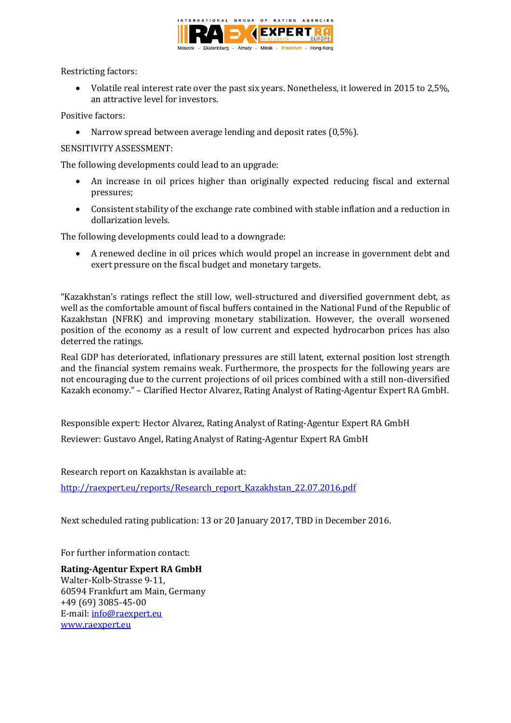

Restricting factors:

 Volatile real interest rate over the past six years. Nonetheless, it lowered in 2015 to 2,5%, an attractive level for investors.

Positive factors:

• Narrow spread between average lending and deposit rates (0,5%).

# SENSITIVITY ASSESSMENT:

The following developments could lead to an upgrade:

- An increase in oil prices higher than originally expected reducing fiscal and external pressures;
- Consistent stability of the exchange rate combined with stable inflation and a reduction in dollarization levels.

The following developments could lead to a downgrade:

 A renewed decline in oil prices which would propel an increase in government debt and exert pressure on the fiscal budget and monetary targets.

"Kazakhstan's ratings reflect the still low, well-structured and diversified government debt, as well as the comfortable amount of fiscal buffers contained in the National Fund of the Republic of Kazakhstan (NFRK) and improving monetary stabilization. However, the overall worsened position of the economy as a result of low current and expected hydrocarbon prices has also deterred the ratings.

Real GDP has deteriorated, inflationary pressures are still latent, external position lost strength and the financial system remains weak. Furthermore, the prospects for the following years are not encouraging due to the current projections of oil prices combined with a still non-diversified Kazakh economy." – Clarified Hector Alvarez, Rating Analyst of Rating-Agentur Expert RA GmbH.

Responsible expert: Hector Alvarez, Rating Analyst of Rating-Agentur Expert RA GmbH Reviewer: Gustavo Angel, Rating Analyst of Rating-Agentur Expert RA GmbH

Research report on Kazakhstan is available at:

[http://raexpert.eu/reports/Research\\_report\\_Kazakhstan\\_22.07.2016.pdf](http://raexpert.eu/reports/Research_report_Kazakhstan_22.07.2016.pdf)

Next scheduled rating publication: 13 or 20 January 2017, TBD in December 2016.

For further information contact:

**Rating-Agentur Expert RA GmbH** Walter-Kolb-Strasse 9-11, 60594 Frankfurt am Main, Germany +49 (69) 3085-45-00 E-mail[: info@raexpert.eu](mailto:info@raexpert.eu) [www.raexpert.eu](http://raexpert.eu/)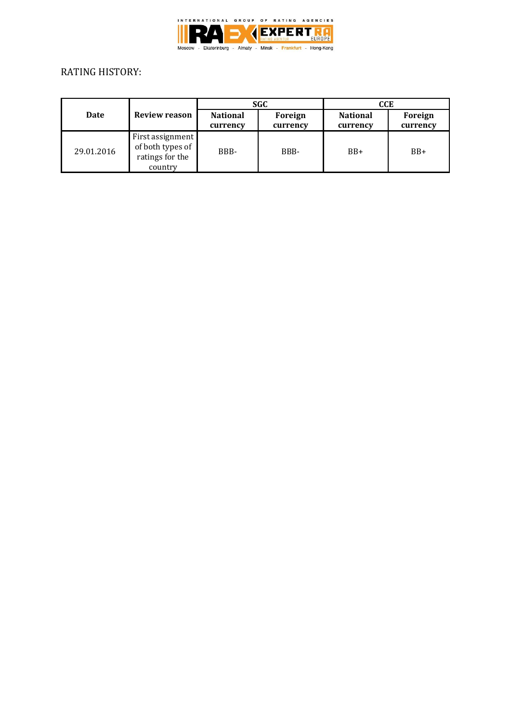

# RATING HISTORY:

| Date       | <b>Review reason</b>                                               | <b>SGC</b>                  |                     | CCE                         |                     |
|------------|--------------------------------------------------------------------|-----------------------------|---------------------|-----------------------------|---------------------|
|            |                                                                    | <b>National</b><br>currency | Foreign<br>currency | <b>National</b><br>currency | Foreign<br>currency |
| 29.01.2016 | First assignment<br>of both types of<br>ratings for the<br>country | BBB-                        | BBB-                | $BB+$                       | $BB+$               |